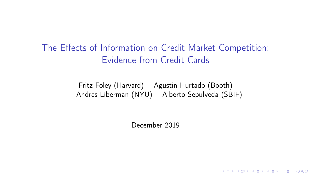The Effects of Information on Credit Market Competition: Evidence from Credit Cards

> Fritz Foley (Harvard) Agustin Hurtado (Booth) Andres Liberman (NYU) Alberto Sepulveda (SBIF)

> > December 2019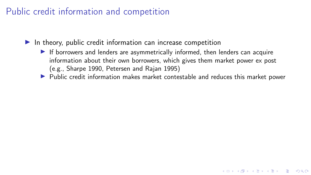#### Public credit information and competition

 $\blacktriangleright$  In theory, public credit information can increase competition

- If borrowers and lenders are asymmetrically informed, then lenders can acquire information about their own borrowers, which gives them market power ex post (e.g., Sharpe 1990, Petersen and Rajan 1995)
- $\blacktriangleright$  Public credit information makes market contestable and reduces this market power

KO KKOK KE KKE K E KORO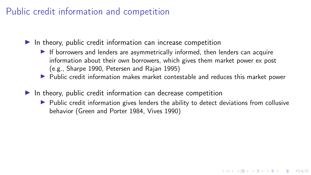### Public credit information and competition

 $\blacktriangleright$  In theory, public credit information can increase competition

- If borrowers and lenders are asymmetrically informed, then lenders can acquire information about their own borrowers, which gives them market power ex post (e.g., Sharpe 1990, Petersen and Rajan 1995)
- $\blacktriangleright$  Public credit information makes market contestable and reduces this market power
- $\blacktriangleright$  In theory, public credit information can decrease competition
	- $\triangleright$  Public credit information gives lenders the ability to detect deviations from collusive behavior (Green and Porter 1984, Vives 1990)

K ロ ▶ K 個 ▶ K 할 ▶ K 할 ▶ 이 할 → 9 Q Q ·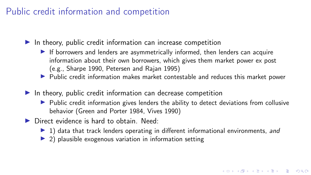#### Public credit information and competition

 $\blacktriangleright$  In theory, public credit information can increase competition

- If borrowers and lenders are asymmetrically informed, then lenders can acquire information about their own borrowers, which gives them market power ex post (e.g., Sharpe 1990, Petersen and Rajan 1995)
- $\blacktriangleright$  Public credit information makes market contestable and reduces this market power
- $\blacktriangleright$  In theory, public credit information can decrease competition
	- $\triangleright$  Public credit information gives lenders the ability to detect deviations from collusive behavior (Green and Porter 1984, Vives 1990)
- $\triangleright$  Direct evidence is hard to obtain. Need:
	- $\blacktriangleright$  1) data that track lenders operating in different informational environments, and

KID KARA KE KE KE A RO

 $\triangleright$  2) plausible exogenous variation in information setting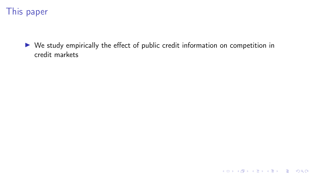

 $\triangleright$  We study empirically the effect of public credit information on competition in credit markets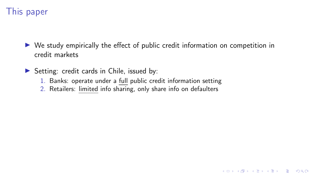### This paper

 $\triangleright$  We study empirically the effect of public credit information on competition in credit markets

K ロ ▶ K 個 ▶ K 할 ▶ K 할 ▶ 이 할 → 9 Q Q ·

- $\triangleright$  Setting: credit cards in Chile, issued by:
	- 1. Banks: operate under a full public credit information setting
	- 2. Retailers: limited info sharing, only share info on defaulters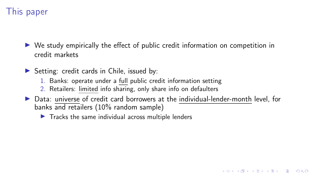### This paper

 $\triangleright$  We study empirically the effect of public credit information on competition in credit markets

 $\triangleright$  Setting: credit cards in Chile, issued by:

- 1. Banks: operate under a full public credit information setting
- 2. Retailers: limited info sharing, only share info on defaulters
- ▶ Data: universe of credit card borrowers at the individual-lender-month level, for banks and retailers (10% random sample)

K ロ ▶ K 個 ▶ K 할 > K 할 > 1 할 > 1 이익어

 $\blacktriangleright$  Tracks the same individual across multiple lenders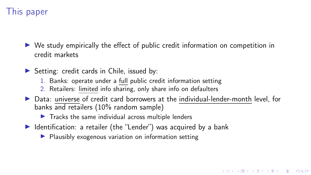### This paper

 $\triangleright$  We study empirically the effect of public credit information on competition in credit markets

 $\triangleright$  Setting: credit cards in Chile, issued by:

- 1. Banks: operate under a full public credit information setting
- 2. Retailers: limited info sharing, only share info on defaulters
- ▶ Data: universe of credit card borrowers at the individual-lender-month level, for banks and retailers (10% random sample)

- $\blacktriangleright$  Tracks the same individual across multiple lenders
- $\blacktriangleright$  Identification: a retailer (the "Lender") was acquired by a bank
	- $\blacktriangleright$  Plausibly exogenous variation on information setting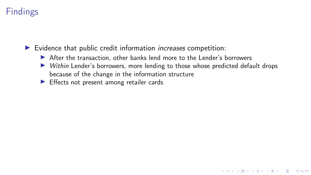# Findings

 $\blacktriangleright$  Evidence that public credit information *increases* competition:

- $\triangleright$  After the transaction, other banks lend more to the Lender's borrowers
- $\triangleright$  Within Lender's borrowers, more lending to those whose predicted default drops because of the change in the information structure

K ロ ▶ K 個 ▶ K 할 > K 할 > 1 할 > 1 이익어

 $\blacktriangleright$  Effects not present among retailer cards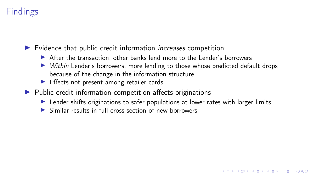# **Findings**

 $\blacktriangleright$  Evidence that public credit information *increases* competition:

- $\triangleright$  After the transaction, other banks lend more to the Lender's borrowers
- $\triangleright$  Within Lender's borrowers, more lending to those whose predicted default drops because of the change in the information structure
- $\blacktriangleright$  Effects not present among retailer cards
- $\blacktriangleright$  Public credit information competition affects originations
	- $\blacktriangleright$  Lender shifts originations to safer populations at lower rates with larger limits

K ロ ▶ K 個 ▶ K 할 > K 할 > 1 할 > 1 이익어

 $\triangleright$  Similar results in full cross-section of new borrowers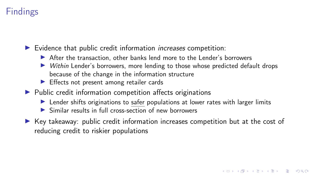# **Findings**

 $\blacktriangleright$  Evidence that public credit information *increases* competition:

- After the transaction, other banks lend more to the Lender's borrowers
- $\triangleright$  Within Lender's borrowers, more lending to those whose predicted default drops because of the change in the information structure
- $\blacktriangleright$  Effects not present among retailer cards
- $\blacktriangleright$  Public credit information competition affects originations
	- In Lender shifts originations to safer populations at lower rates with larger limits
	- $\triangleright$  Similar results in full cross-section of new borrowers
- $\blacktriangleright$  Key takeaway: public credit information increases competition but at the cost of reducing credit to riskier populations

KID KARA KE KE KE A RO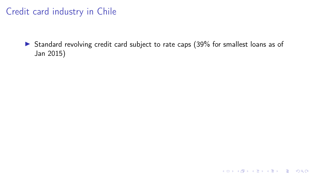### Credit card industry in Chile

In Standard revolving credit card subject to rate caps (39% for smallest loans as of Jan 2015)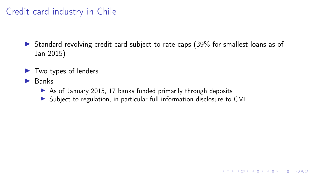### Credit card industry in Chile

 $\triangleright$  Standard revolving credit card subject to rate caps (39% for smallest loans as of Jan 2015)

- $\blacktriangleright$  Two types of lenders
- $\blacktriangleright$  Banks
	- $\triangleright$  As of January 2015, 17 banks funded primarily through deposits
	- In Subject to regulation, in particular full information disclosure to CMF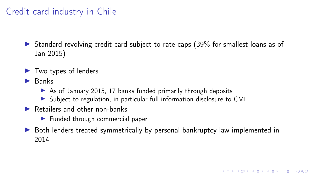### Credit card industry in Chile

 $\triangleright$  Standard revolving credit card subject to rate caps (39% for smallest loans as of Jan 2015)

- $\blacktriangleright$  Two types of lenders
- $\blacktriangleright$  Banks
	- $\triangleright$  As of January 2015, 17 banks funded primarily through deposits
	- ▶ Subject to regulation, in particular full information disclosure to CMF
- $\blacktriangleright$  Retailers and other non-banks
	- $\blacktriangleright$  Funded through commercial paper
- **In Both lenders treated symmetrically by personal bankruptcy law implemented in** 2014

**KORKA BRADE KORA**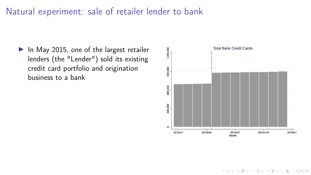#### Natural experiment: sale of retailer lender to bank

 $\blacktriangleright$  In May 2015, one of the largest retailer lenders (the "Lender") sold its existing credit card portfolio and origination business to a bank



**KORK SERKER SHORE**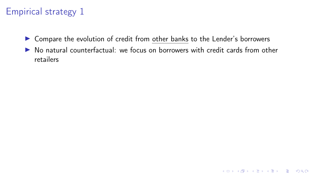- ▶ Compare the evolution of credit from other banks to the Lender's borrowers
- $\triangleright$  No natural counterfactual: we focus on borrowers with credit cards from other retailers

K ロ ▶ K @ ▶ K 할 ▶ K 할 ▶ | 할 | ⊙Q @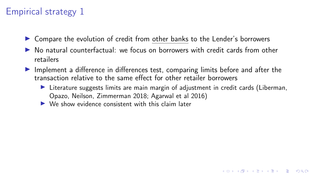- $\triangleright$  Compare the evolution of credit from other banks to the Lender's borrowers
- $\triangleright$  No natural counterfactual: we focus on borrowers with credit cards from other retailers
- Implement a difference in differences test, comparing limits before and after the transaction relative to the same effect for other retailer borrowers
	- $\triangleright$  Literature suggests limits are main margin of adjustment in credit cards (Liberman, Opazo, Neilson, Zimmerman 2018; Agarwal et al 2016)

K ロ ▶ K 個 ▶ K 할 > K 할 > 1 할 > 1 이익어

 $\triangleright$  We show evidence consistent with this claim later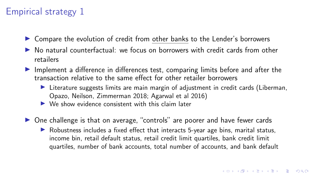- $\triangleright$  Compare the evolution of credit from other banks to the Lender's borrowers
- $\triangleright$  No natural counterfactual: we focus on borrowers with credit cards from other retailers
- $\blacktriangleright$  Implement a difference in differences test, comparing limits before and after the transaction relative to the same effect for other retailer borrowers
	- $\triangleright$  Literature suggests limits are main margin of adjustment in credit cards (Liberman, Opazo, Neilson, Zimmerman 2018; Agarwal et al 2016)
	- $\triangleright$  We show evidence consistent with this claim later
- $\triangleright$  One challenge is that on average, "controls" are poorer and have fewer cards
	- $\triangleright$  Robustness includes a fixed effect that interacts 5-year age bins, marital status, income bin, retail default status, retail credit limit quartiles, bank credit limit quartiles, number of bank accounts, total number of accounts, and bank default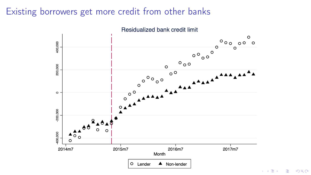### Existing borrowers get more credit from other banks



 $\epsilon \rightarrow \Xi$  )  $E = 990$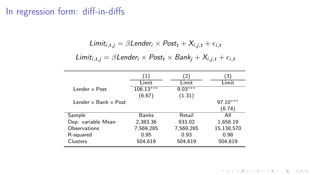### In regression form: diff-in-diffs

$$
Limit_{i,t,j} = \beta Lender_i \times Post_t + X_{i,j,t} + \epsilon_{i,t}
$$

$$
Limit_{i,t,j} = \beta Lender_i \times Post_t \times Bank_j + X_{i,j,t} + \epsilon_{i,t}
$$

|                      | $\left( \begin{matrix} 1 \end{matrix} \right)$ | $\overline{2}$ | 3          |
|----------------------|------------------------------------------------|----------------|------------|
|                      | Limit                                          | Limit          | Limit      |
| Lender x Post        | $106.13***$                                    | $9.03***$      |            |
|                      | (6.67)                                         | (1.31)         |            |
| Lender x Bank x Post |                                                |                | $97.10***$ |
|                      |                                                |                | (6.74)     |
| Sample               | <b>Banks</b>                                   | Retail         | All        |
| Dep. variable Mean   | 2,383.36                                       | 933.02         | 1,658.19   |
| Observations         | 7,569,285                                      | 7,569,285      | 15,138,570 |
| R-squared            | 0.95                                           | 0.93           | 0.98       |
| Clusters             | 504,619                                        | 504,619        | 504,619    |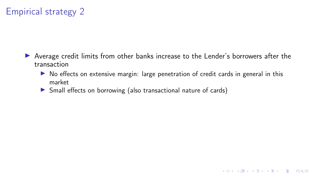- In Average credit limits from other banks increase to the Lender's borrowers after the transaction
	- $\triangleright$  No effects on extensive margin: large penetration of credit cards in general in this market

K ロ ▶ K 個 ▶ K 할 > K 할 > 1 할 > 1 이익어

**In Small effects on borrowing (also transactional nature of cards)**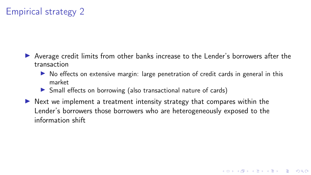- In Average credit limits from other banks increase to the Lender's borrowers after the transaction
	- $\triangleright$  No effects on extensive margin: large penetration of credit cards in general in this market

K ロ ▶ K 個 ▶ K 할 ▶ K 할 ▶ 이 할 → 9 Q Q ·

- **In Small effects on borrowing (also transactional nature of cards)**
- $\triangleright$  Next we implement a treatment intensity strategy that compares within the Lender's borrowers those borrowers who are heterogeneously exposed to the information shift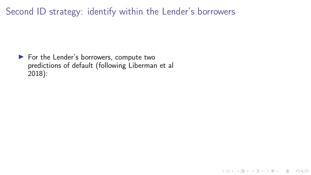K ロ X x 4 → X ミ X × ミ X → X → ミ X → O Q O

 $\blacktriangleright$  For the Lender's borrowers, compute two predictions of default (following Liberman et al 2018):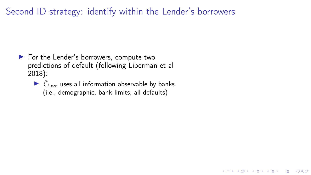- $\blacktriangleright$  For the Lender's borrowers, compute two predictions of default (following Liberman et al 2018):
	- $\triangleright$   $\hat{C}_{i,pre}$  uses all information observable by banks (i.e., demographic, bank limits, all defaults)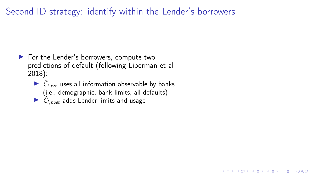KID KARA KE KE KE A RO

- $\blacktriangleright$  For the Lender's borrowers, compute two predictions of default (following Liberman et al 2018):
	- $\triangleright$   $\hat{C}_{i,pre}$  uses all information observable by banks (i.e., demographic, bank limits, all defaults)
	- $\triangleright$   $\hat{C}_{i,post}$  adds Lender limits and usage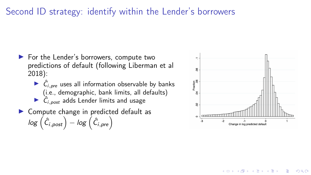- ▶ For the Lender's borrowers, compute two predictions of default (following Liberman et al 2018):
	- $\triangleright$   $\hat{C}_{i,pre}$  uses all information observable by banks (i.e., demographic, bank limits, all defaults)  $\triangleright$   $\hat{C}_{i,post}$  adds Lender limits and usage
- $\blacktriangleright$  Compute change in predicted default as  $\log\left(\hat{C}_{i,post}\right) - \log\left(\hat{C}_{i,pre}\right)$



**KORK SERKER SHORE**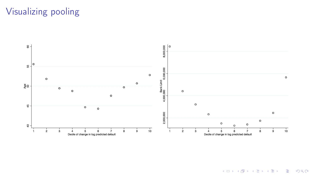# Visualizing pooling



K ロ X x 4 → K 差 X X 差 → X 差 → の Q Q →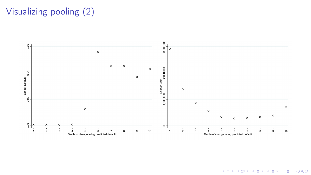# Visualizing pooling (2)



K ロ X x 4 → K 差 X X 差 → X 差 → の Q Q →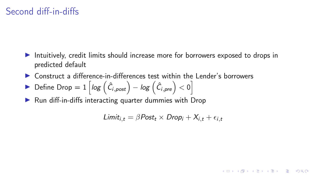- Intuitively, credit limits should increase more for borrowers exposed to drops in predicted default
- $\triangleright$  Construct a difference-in-differences test within the Lender's borrowers
- ▶ Define Drop =  $1 \left[ log \left( \hat{C}_{i,post} \right) log \left( \hat{C}_{i,pre} \right) \right]$
- $\blacktriangleright$  Run diff-in-diffs interacting quarter dummies with Drop

$$
Limit_{i,t} = \beta Post_t \times Drop_i + X_{i,t} + \epsilon_{i,t}
$$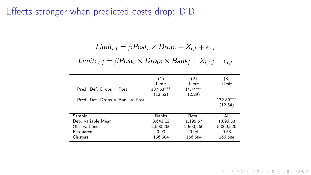#### Effects stronger when predicted costs drop: DiD

$$
Limit_{i,t} = \beta Post_t \times Drop_i + X_{i,t} + \epsilon_{i,t}
$$
  
Limit<sub>i,t,j</sub> =  $\beta Post_t \times Drop_i \times Bank_j + X_{i,t,j} + \epsilon_{i,t}$ 

|                                              | (1)         | (2)        | (3)       |
|----------------------------------------------|-------------|------------|-----------|
|                                              | Limit       | Limit      | Limit     |
| Pred. Def. Drops $\times$ Post               | $187.63***$ | $14.74***$ |           |
|                                              | (12.52)     | (2.29)     |           |
| Pred. Def. Drops $\times$ Bank $\times$ Post |             |            | 172.89*** |
|                                              |             |            | (12.64)   |
| Sample                                       | Banks       | Retail     | All       |
| Dep. variable Mean                           | 3,641.12    | 1,195.67   | 1,896.53  |
| Observations                                 | 2,500,260   | 2,500,260  | 5,000,520 |
| R-squared                                    | 0.93        | 0.94       | 0.53      |
| Clusters                                     | 166,684     | 166,684    | 166,684   |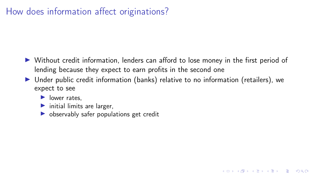### How does information affect originations?

- $\triangleright$  Without credit information, lenders can afford to lose money in the first period of lending because they expect to earn profits in the second one
- $\triangleright$  Under public credit information (banks) relative to no information (retailers), we expect to see

- $\blacktriangleright$  lower rates.
- $\blacktriangleright$  initial limits are larger,
- $\triangleright$  observably safer populations get credit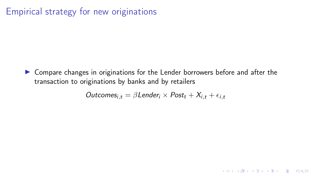#### Empirical strategy for new originations

▶ Compare changes in originations for the Lender borrowers before and after the transaction to originations by banks and by retailers

$$
Outcomes_{i,t} = \beta Lender_i \times Post_t + X_{i,t} + \epsilon_{i,t}
$$

KO KKOK KE KKE K E KORO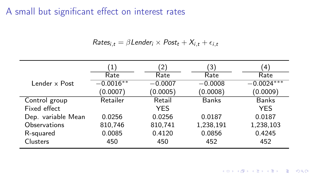A small but significant effect on interest rates

$$
Rates_{i,t} = \beta Lender_i \times Post_t + X_{i,t} + \epsilon_{i,t}
$$

|                    | 1)          | 2)         | 3)           | $^{\prime}$ 4) |
|--------------------|-------------|------------|--------------|----------------|
|                    | Rate        | Rate       | Rate         | Rate           |
| Lender x Post      | $-0.0016**$ | $-0.0007$  | $-0.0008$    | $-0.0024***$   |
|                    | (0.0007)    | (0.0005)   | (0.0008)     | (0.0009)       |
| Control group      | Retailer    | Retail     | <b>Banks</b> | <b>Banks</b>   |
| Fixed effect       |             | <b>YES</b> |              | <b>YES</b>     |
| Dep. variable Mean | 0.0256      | 0.0256     | 0.0187       | 0.0187         |
| Observations       | 810,746     | 810,741    | 1,238,191    | 1,238,103      |
| R-squared          | 0.0085      | 0.4120     | 0.0856       | 0.4245         |
| <b>Clusters</b>    | 450         | 450        | 452          | 452            |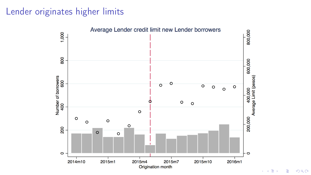#### Lender originates higher limits



 $299$ Ε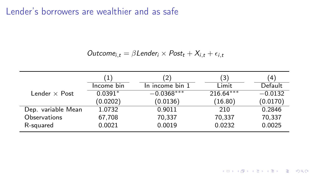#### Lender's borrowers are wealthier and as safe

Outcome<sub>i,t</sub> =  $\beta$ Lender<sub>i</sub> × Post<sub>t</sub> +  $X_{i,t}$  +  $\epsilon_{i,t}$ 

|                      |                                | $2^{\circ}$     | 3)          | $4^{\circ}$ |
|----------------------|--------------------------------|-----------------|-------------|-------------|
|                      | Income $\overline{\text{bin}}$ | In income bin 1 | Limit       | Default     |
| Lender $\times$ Post | $0.0391*$                      | $-0.0368***$    | $216.64***$ | $-0.0132$   |
|                      | (0.0202)                       | (0.0136)        | (16.80)     | (0.0170)    |
| Dep. variable Mean   | 1.0732                         | 0.9011          | 210         | 0.2846      |
| Observations         | 67,708                         | 70,337          | 70,337      | 70,337      |
| R-squared            | 0.0021                         | 0.0019          | 0.0232      | 0.0025      |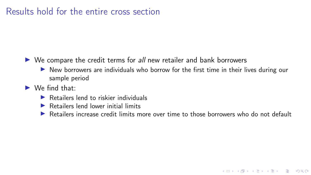#### Results hold for the entire cross section

- $\triangleright$  We compare the credit terms for all new retailer and bank borrowers
	- $\triangleright$  New borrowers are individuals who borrow for the first time in their lives during our sample period
- $\blacktriangleright$  We find that:
	- $\blacktriangleright$  Retailers lend to riskier individuals
	- $\blacktriangleright$  Retailers lend lower initial limits
	- $\triangleright$  Retailers increase credit limits more over time to those borrowers who do not default

**KOD KAR KED KED E YOUR**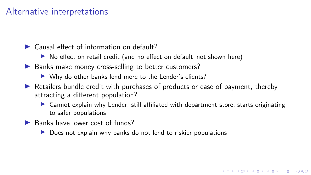#### Alternative interpretations

- $\blacktriangleright$  Causal effect of information on default?
	- ▶ No effect on retail credit (and no effect on default–not shown here)
- $\blacktriangleright$  Banks make money cross-selling to better customers?
	- $\triangleright$  Why do other banks lend more to the Lender's clients?
- $\triangleright$  Retailers bundle credit with purchases of products or ease of payment, thereby attracting a different population?
	- $\triangleright$  Cannot explain why Lender, still affiliated with department store, starts originating to safer populations

**KORKA BRADE KORA** 

- $\blacktriangleright$  Banks have lower cost of funds?
	- $\triangleright$  Does not explain why banks do not lend to riskier populations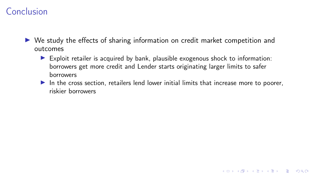#### Conclusion

- $\triangleright$  We study the effects of sharing information on credit market competition and outcomes
	- $\triangleright$  Exploit retailer is acquired by bank, plausible exogenous shock to information: borrowers get more credit and Lender starts originating larger limits to safer borrowers
	- In the cross section, retailers lend lower initial limits that increase more to poorer, riskier borrowers